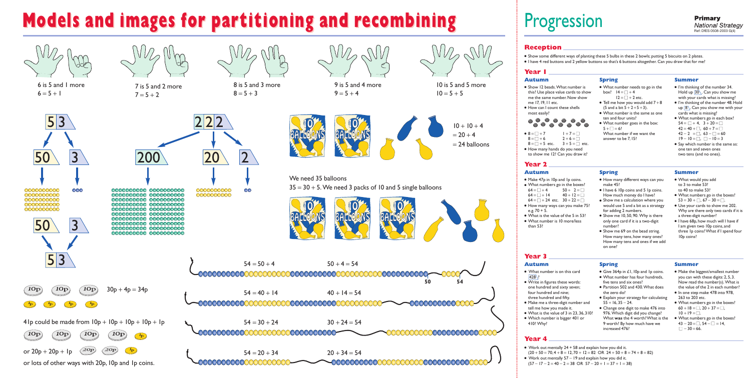

6 is 5 and 1 more  $6 = 5 + 1$ 

 $\sqrt{10p}$ 



# **Models and images for partitioning and recombining Models and images for partitioning and recombining**

7 is 5 and 2 more  $7 = 5 + 2$ 



8 is 5 and 3 more  $8 = 5 + 3$ 

 $\infty$ 



9 is 5 and 4 more  $9 = 5 + 4$ 

10 is 5 and 5 more  $10 = 5 + 5$ 



We need 35 balloons  $35 = 30 + 5$ . We need 3 packs of 10 and 5 single balloons





● Show 12 beads. What number is this? Use place value cards to show me the same number.Now show me 17,19,11 etc.

# ● How can I count these shells most easily?







 $54 = 50 + 4$   $50 + 4 = 54$  $10p$  $\sqrt{10p}$  $30p + 4p = 34p$  $54 = 40 + 14$   $40 + 14 = 54$ 0000000000  $\begin{pmatrix} 1 \\ P \end{pmatrix}$  $\begin{pmatrix} 1 \\ P \end{pmatrix}$  $41p$  could be made from  $10p + 10p + 10p + 1p$  $54 = 30 + 24$   $30 + 24 = 54$  $10<sub>p</sub>$  $10p$  $10p$  $\left( \frac{1}{p} \right)$ or 20p + 20p + 1p  $\big\langle 20{\rm p}\big\rangle$  $\langle 20{\rm p}\rangle$  $54 = 20 + 34$   $20 + 34 = 54$ or lots of other ways with 20p,10p and 1p coins.

0000000000

0000000000



- $\bullet$  8 =  $\Box$  + 7 =  $\Box$ <br>8 =  $\Box$  + 6 =  $\Box$  $8 = \Box + 6$
- $8 = \Box + 5$  etc.  $3 + 5 = \Box$  etc.
- How many hands do you need to show me 12? Can you draw it?

# Progression

# **Reception**

# **Year 1**

- Show some different ways of planting these 5 bulbs in these 2 bowls; putting 5 biscuits on 2 plates.
- I have 4 red buttons and 2 yellow buttons so that's 6 buttons altogether. Can you draw that for me?

## **Autumn**

- Make 47p in 10p and 1p coins.
- What numbers go in the boxes?<br> $64 = \square + 4$   $50 + 2 = \square$ 
	- $50 + 2 = \square$ <br> $40 + 12 = \square$
- $64 = \Box + 14$
- $64 = \square + 24$  etc.  $30 + 22 = \square$
- How many ways can you make 75? e.g.  $70 + 5$ .
- What is the value of the 5 in 53? ● What number is 10 more/less
- than 53?
- **Spring**
- How many different ways can you make 45?

### ● I have 6 10p coins and 5 Ip coins. How much money do I have?

# **Spring**

- What number needs to go in the box?  $14 = \square + 4$  $12 = \square + 2$  etc.
- Tell me how you would add  $7+8$ (5 and a bit  $5 + 2 + 5 + 3$ ).
- What number is the same as one ten and four units?
- What number goes in the box:  $5 + \Box = 6?$ What number if we want the answer to be 7,15?

# **Summer**

- What number is on this card  $428$
- Write in figures these words: one hundred and sixty seven; four hundred and nine; three hundred and fifty.
- Make me a three-digit number and tell me how you made it.
- What is the value of 3 in 23,36,310? ● Which number is bigger 401 or
- 410? Why?
- I'm thinking of the number 34. Hold up  $30$ . Can you show me with your cards what is missing?
- I'm thinking of the number 48. Hold up  $\boxed{8}$ . Can you show me with your cards what is missing?
- What numbers go in each box?  $54 = \Box + 4$ ,  $3 + 20 = \Box$  $42 = 40 + \square$ ,  $60 + 7 = \square$  $42 - 2 = \square$ ,  $63 - \square = 60$
- $19 10 = \square$ ,  $\square 10 = 3$
- Say which number is the same as: one ten and seven ones two tens (and no ones).

- Give 364p in £1, 10p and 1p coins.
- What number has four hundreds, five tens and six ones?
- Partition 502 and 430. What does the zero do?
- Explain your strategy for calculating  $55 + 16.35 - 24.$
- Change one digit to make 476 into 976. Which digit did you change? What **was** the 4 worth? What is the 9 worth? By how much have we increased 476?

# **Autumn**

- Show me a calculation where you would use 5 and a bit as a strategy for adding 2 numbers.
- Show me 10, 50, 90. Why is there only one card if it is a two-digit number?
- Show me 69 on the bead string. How many tens, how many ones? How many tens and ones if we add on one?

# **Summer**

- What would you add to 3 to make 53? to 40 to make 53?
- What numbers go in the boxes?  $53 = 30 + \square$ ,  $67 - 30 = \square$ .
- Use your cards to show me 202. Why are there only two cards if it is a three-digit number?
- I have 68p, how much will I have if I am given two 10p coins,and three 1p coins? What if I spend four 10p coins?

# **Year 2**

# **Autumn**

# **Spring**

# **Summer**

- Make the biggest/smallest number you can with these digits:2,5,3. Now read the number(s). What is the value of the 2 in each number?
- In one step make 478 into 978, 263 to 203 etc.
- What numbers go in the boxes?  $60 + 18 = 0, 20 + 37 = 0,$  $10 + 19 = \square$ .
- What numbers go in the boxes?  $43 - 20 = \square$ ,  $54 - \square = 14$ ,  $\Box$  - 30 = 66.
- $\bullet$  Work out mentally 24 + 58 and explain how you did it.  $(20 + 50 = 70, 4 + 8 = 12, 70 + 12 = 82 \text{ OR } 24 + 50 + 8 = 74 + 8 = 82)$
- Work out mentally 57 − 19 and explain how you did it.  $(57 - 17 - 2 = 40 - 2 = 38 \text{ OR } 57 - 20 + 1 = 37 + 1 = 38)$

# **Year 3**

# **Year 4**